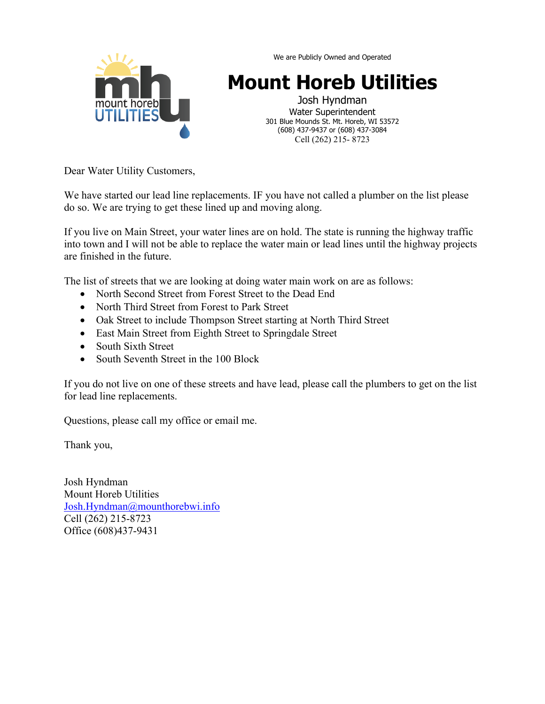

We are Publicly Owned and Operated

# **Mount Horeb Utilities**

Josh Hyndman Water Superintendent 301 Blue Mounds St. Mt. Horeb, WI 53572 (608) 437-9437 or (608) 437-3084 Cell (262) 215- 8723

Dear Water Utility Customers,

We have started our lead line replacements. IF you have not called a plumber on the list please do so. We are trying to get these lined up and moving along.

If you live on Main Street, your water lines are on hold. The state is running the highway traffic into town and I will not be able to replace the water main or lead lines until the highway projects are finished in the future.

The list of streets that we are looking at doing water main work on are as follows:

- North Second Street from Forest Street to the Dead End
- North Third Street from Forest to Park Street
- Oak Street to include Thompson Street starting at North Third Street
- East Main Street from Eighth Street to Springdale Street
- South Sixth Street
- South Seventh Street in the 100 Block

If you do not live on one of these streets and have lead, please call the plumbers to get on the list for lead line replacements.

Questions, please call my office or email me.

Thank you,

Josh Hyndman Mount Horeb Utilities [Josh.Hyndman@mounthorebwi.info](mailto:Josh.Hyndman@mounthorebwi.info) Cell (262) 215-8723 Office (608)437-9431